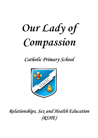# **Our Lady of Compassion**

*Catholic Primary School*



*Relationships, Sex and Health Education (RSHE)*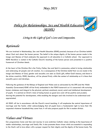## **May 2021**



## *Living in the Light of God's Love and Compassion.*

## **Rationale**

We are involved in Relationships, Sex and Health Education (RSHE) precisely because of our Christian beliefs about God and about the human person. The belief in the unique dignity of the human person made in the image and likeness of God underpins the approach to all education in a Catholic school. Our approach to RSHE therefore is rooted in the Catholic Church's teaching of the human person and presented in a positive framework of Christian ideals.

At the heart of the Christian life is the Trinity; Father, Son and Spirit in communion, united in loving relationship and embracing all people and all creation. As a consequence of the Christian belief that we are made in the image and likeness of God, gender and sexuality are seen as God's gift, reflect God's beauty, and share in the divine creativity. RSHE, therefore, will be placed firmly within the context of relationship as it is there that sexuality grows and develops.

Following the guidance of the Bishops of England and Wales and as advocated by the DFE (and the Welsh Assembly Government) RSHE will be firmly embedded in the PSHE framework as it is concerned with nurturing human wholeness and integral to the physical, spiritual, emotional, moral, social and intellectual development of pupils. It is centred on Christ's vision of being human as good news and will be positive and prudent, showing the potential for development, while enabling the dangers and risks involved to be understood and appreciated.

All RSHE will be in accordance with the Church's moral teaching. It will emphasise the central importance of marriage and the family whilst acknowledging that all pupils have a fundamental right to have their life respected whatever household they come from. It will also prepare pupils for life in modern Britain.

## **Values and Virtues**

Our programmes Come and See and Journey In Love enshrines Catholic values relating to the importance of stable relationships, marriage and family life. It also promotes those virtues which are essential in responding to the God's call to love others with a proper respect for their dignity and the dignity of the human body. The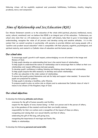following virtues will be explicitly explored and promoted: faithfulness, fruitfulness, chastity, integrity, prudence, mercy and compassion.

# **Aims of Relationship and Sex Education (RSE)**

Our Mission Statement commits us to the education of the whole child (spiritual, physical, intellectual, moral, social, cultural, emotional) and we believe that RSHE is an integral part of this education. Furthermore, our school aims state that we will endeavour to raise pupils' self-esteem, help them to grow in knowledge and understanding, recognise the value of all persons and develop caring and sensitive attitudes. It is in this context that we commit ourselves in partnership with parents, to provide children and young people with a "positive and prudent sexual education" which is compatible with their physical, cognitive, psychological, and spiritual maturity, and rooted in a Catholic vision of education and the human person.

#### *Our school aims*

To encourage pupils' growth in self respect, acknowledging we are all created in the image and likeness of God.

To help pupils develop an understanding that love is the central basis of relationships.

To help pupils to understand the nature of relationships and to encourage them to reflect on their own relationships and respect differences between people.

To develop pupils' confidence in talking, listening and thinking about feelings and relationships.

To help pupils acquire the skills necessary to develop and sustain relationships.

To offer sex education in the wider context of relationships.

To ensure that pupils protect themselves and ask for help and support when needed. To ensure that pupils are prepared for puberty.

To help pupils to develop a healthier, safer lifestyle.

To prepare pupils to play an active role as citizens and to understand the Catholic vision of what it means to be citizens of the Kingdom/reign of God.

#### *Our school objectives*

To develop the following **attitudes and virtues**:

reverence for the gift of human sexuality and fertility;

respect for the dignity of every human being – in their own person and in the person of others; joy in the goodness of the created world and their own bodily natures;

responsibility for their own actions and a recognition of the impact of these on others;

recognising and valuing their own sexual identity and that of others;

celebrating the gift of life-long, self-giving love;

recognising the importance of marriage and family life;

fidelity in relationships.

To develop the following **personal and social skills**: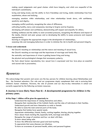making sound judgements and good choices which have integrity, and which are respectful of the individual's commitments;

loving and being loved, and the ability to form friendships and loving, stable relationships free from exploitation, abuse and bullying;

managing emotions within relationships, and when relationships break down, with confidence, sensitivity and dignity;

managing conflict positively, recognising the value of difference;

cultivating humility, mercy and compassion, learning to forgive and be forgiven;

developing self-esteem and confidence, demonstrating self-respect and empathy for others;

building resilience and the ability to resist unwanted pressures, recognising the influence and impact of the media, internet and peer groups and so developing the ability to assess pressures and respond appropriately;

learning to recognise the appropriate stages in the development of relationships;

assessing risks and managing behaviours in order to minimise the risk to health and personal integrity.

#### To **know and understand**:

the Church's teaching on relationships and the nature and meaning of sexual love;

the Church's teaching on marriage and the importance of marriage and family life;

the centrality and importance of virtue in guiding human living and loving;

the physical and psychological changes that accompany puberty;

the facts about human reproduction, how sexual love is expressed and how love plays an essential and sacred role in procreation;

### **Resources**

We acknowledge that parents and carers are the key persons for children learning about Relationships and Sex - the foremost educators. Our role and our programme simply complement their role in nurturing their children's human wholeness. However, the role of parents and our day-to-day interactions in school are currently supported by the following curriculum resources:

#### **A Journey in Love (Early Years-Year 6) - A developmental programme for children in the primary years.**

#### *At Key Stage 1 children will be given the opportunity to:*

Understand the importance of valuing themselves and others.

Recognise their membership of the Catholic family and the roles of individuals in their families. Understand growth and know themselves as male or female.

Be able to name the main external parts of the body.

Recognise that babies have special needs.

Appreciate relationships, friends, family, working together, sharing, playing together.

Know about rituals marking life, especially birth, marriage and death.

Recognise the range of emotions and how we deal with them.

To know about being safe.

To know the difference between good and bad touching.

To appreciate that some diseases are infectious.

To have an awareness of personal health, safety and personal hygiene.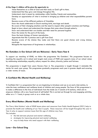#### *At Key Stage 2, children will be given the opportunity to:*

Value themselves as a child of God and their body as God's gift to them.

Understand that they grow and change throughout life.

Understand what is meant by relationships within families, friends and communities.

Develop an appreciation of what is involved in bringing up children and what responsibilities parents have.

Become aware of the different patterns of friendship.

Know the rituals celebrated in Church marking birth, marriage and death.

Be aware of their changing emotions and the need to respect other people's emotions and feelings.

Begin to know about and understand the changes that come about through puberty.

Know and understand their own bodies and their need for personal hygiene.

Know the names for the parts of the body.

Know the basic biology of human reproduction.

Appreciate that life is precious and a gift from God.

Become aware of the choices they make and that there are good choices and wrong choices, e.g.drugs.

Recognise the importance of forgiveness in relationships.

#### **No Outsiders in Our School (All are Welcome) - Early Years-Year 6**

To support our teaching of RSHE, we follow the programme 'No Outsiders'. This programme focuses on teaching the equality act in school and targets main areas of PSHE and supports many of our school values by addressing relationships, equality, culture, respect for others, diversity, justice and fairness.

This programme is taught from years Nursery-Year 6. The programme is taught through 3 relatable life stories for each year group. This programme gradually progresses each year in greater depth and covering a wider variety of issues.

#### **A Confident Me (Mental Health and Wellbeing)**

'A Confident Me' is a programme that we are beginning to introduce and use as an early intervention, to raise the inner confidence and resilience levels of children and young people. The focus of this programme is to make a difference to the lives of individuals from the inside out. It consists of 8 sections, which aim to empower children with a new found level of self-belief. This is carried out through fun and engaging activities, either on a 1-1 basis, in group work or as a whole class.

#### **Every Mind Matters (Mental Health and Wellbeing)**

The 'Every Mind Matters' suite of RSHE lesson plans and resources from Public Health England (2021) help to promote the health and wellbeing of our Year 6 pupils. These resources will be taught throughout the year in Year 6 only, to support common issues that this age of children may face. This includes:

- the link between physical and mental wellbeing
- strategies for improving physical and mental wellbeing
- ways to help those who need support with their wellbeing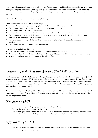Luna is a Cockapoo. Cockapoos are crossbreeds of Cocker Spaniels and Poodles, which are known to be very intelligent, outgoing and friendly, making them great companions. Cockapoos are extremely low shedding and therefore classed as hypoallergenic, which means they are less likely to cause an allergic reaction in humans.

We would like to welcome Luna into our OLOC family as our very own school dog!

What are the benefits of having a school dog?

- They can have a calming effect on pupils, particularly those with emotional needs.
- They can encourage expressions, participation and shared attention.
- They can help foster a sense of responsibility.
- They can improve behaviour, attendance and concentration, reduce stress and improve self-esteem.
- They can motivate pupils to think and to learn, as most children have high level of natural interest in, enthusiasm for, and enjoyment of animals.
- They can encourage respect, thereby improving pupils' relationships with each other, parents and teachers.
- They can help children build confidence in reading.

How has the school planned for this?

- A full risk assessment has been completed and is available on our website.
- All contact with children will be carefully supervised and children will not be left unsupervised with Luna.
- When not 'working' Luna will be based in the school office.

# **Delivery of Relationships, Sex and Health Education**

Relationships, Sex and Health Education is taught through our life style in school and through the subjects of Religious Education, Science, PSHE and by way of a cross-curricular, integrated approach as a fundamental part of the Catholic Life of the school. All children have their own RSHE book, which progresses with them each year as they pass through the school. This allows children to look back and consolidate previous learning, before moving forward.

All elements of PSHE and Citizenship, whilst non-statutory at Key Stage 1 and 2, are covered. Significant aspects of Relationship, Sex and Health Education remain part of the National Curriculum for Science. These will be taught to all pupils.

# **Key Stage 1 (5-7)**

That humans move, feed, grow, use their senses and reproduce;

To name the main external parts of the body;

That humans grow from babies into children and then into adults, and that adults can produce babies; To recognise similarities and differences between themselves and other pupils

# **Key Stage 2 (7 – 11)**

That the life processes common to humans and all animals include nutrition, growth and reproduction The main stages of the human life cycle.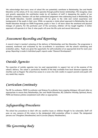We acknowledge that every area of school life can potentially contribute to Relationship, Sex and Health Education as the school, of its very nature operates through positive human relationships. We recognise, value and greatly appreciate the contribution made by all members of staff in deepening the quality of our Christian community. Teachers will use their professional judgement when addressing issues in Relationship, Sex and Health Education. Careful consideration will be given to the wide and varied experience and backgrounds of the pupils in their care. While we operate a whole school approach to Relationship, Sex and Health Education through our RSHE Programme, pupils in Year 5 will learn about the emotional and physical changes of puberty. For this particular part of the curriculum, children will be taught together. A similar approach will operate in in Year 6 when pupils will cover the life cycle and sexual intercourse.

## **Assessment Recording and Reporting**

A record is kept in teacher's planning of the delivery of Relationships and Sex Education. The programme is assessed, monitored and evaluated by the co-ordinator in accordance with the school's monitoring and evaluation policy. Pupils are given the opportunity for self-evaluation at an appropriate level for each year group. Reporting is made in individual pupil's reports under 'General Development'.

## **Outside Agencies**

The expertise of outside agencies may be used appropriately to support but not at the expense of the school's delivery. The school is particularly thankful of the help available from local diocesan agencies and charities such as Nugent. The school has access to a nurse who visits weekly to support parents and pupils with any needs they require.

## **Curriculum Continuity**

The RE Co-ordinator, PSHE Co-ordinator and Science Co-ordinator have ongoing dialogue with each other as appropriate to ensure that; Relationships, Sex and Health Education, RE, Collective Worship, Spiritual, Moral, PSHE and Science policies complement each other as appropriate.

# **Safeguarding Procedures**

The school has procedures to deal with any sensitive issues or children thought to be vulnerable. Staff will pass on any concerns of this nature to the designated child protection officer in school. The designated persons are T.Houghton (Headteacher) and A.Lawson (Deputy Headteacher).

# **The Governing Body**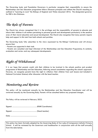The Governing body and Foundation Governors in particular recognise their responsibility to ensure the Relationships and Sex Education programme follows Diocesan principles and reflects the Church's teaching as outlined in "Learning to Love" the Bishops of England and Wales document 2016. The designated governor for RSE is Mrs Dickinson.

# **The Role of Parents**

.

The Church has always recognised that it is the privilege and the responsibility of parents to educate and inform their children in all matters pertaining to personal growth and development particularly in the sensitive area of their moral education and sexual development. The Church also recognises that many parents require help and support in this task from both schools and parishes.

The Governing body fully subscribes to the views expressed by the Bishops' Conference and will always ensure that:

- Parents are supported in their task.

- Parents are consulted and kept informed of the Relationships and Sex Education Programme; its contents, evaluation and review and any subsequent developments.

# **Right of Withdrawal**

It is our hope that parents would wish their children to be involved in the schools positive and prudent programme of Relationship and Sex Education, following annual consultation regarding the school's approach. However, we recognise parents have the right to withdraw their children from such lessons (not included in National Curriculum Science) after discussion with the head teacher.

## **Monitoring and Review**

This policy will be monitored annually by the Relationships and Sex Education Coordinator and will be reviewed annually by the Governing Body. Parents will be consulted before any proposed changes.

This Policy will be reviewed in February 2023.

Signed: ………………………………. (RSHE Coordinator)

Signed: ………………………………. (Head teacher)

Date: ………………………………….

This policy has been formally adopted by the Governing Body of Our Lady of Compassion Catholic Primary School. It will be reviewed by the Governors and headteacher in conjunction with all the staff annually from the date below.